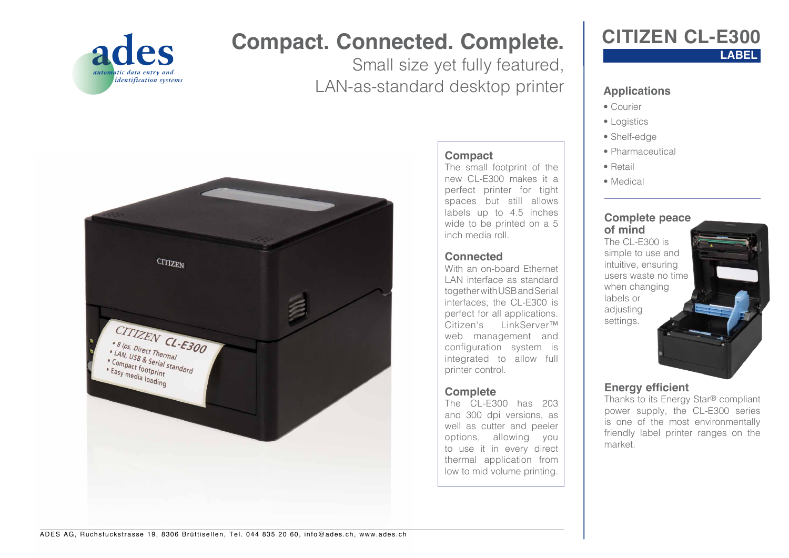

# **Compact. Connected. Complete.**

Small size yet fully featured, LAN-as-standard desktop printer

**Compact**

inch media roll.

**Connected**

printer control.

**Complete**

The small footprint of the new CL-E300 makes it a perfect printer for tight spaces but still allows labels up to 4.5 inches wide to be printed on a 5

With an on-board Ethernet LAN interface as standard together with USB and Serial interfaces, the CL-E300 is perfect for all applications. Citizen's LinkServer™ web management and configuration system is integrated to allow full

The CL-E300 has 203 and 300 dpi versions, as well as cutter and peeler options, allowing you to use it in every direct thermal application from low to mid volume printing.



### **LABEL CITIZEN CL-E300**

### **Applications**

- Courier
- Logistics
- Shelf-edge
- Pharmaceutical
- Retail
- Medical

#### **Complete peace of mind**

The CL-E300 is simple to use and intuitive, ensuring users waste no time when changing labels or adjusting settings.



### **Energy efficient**

Thanks to its Energy Star® compliant power supply, the CL-E300 series is one of the most environmentally friendly label printer ranges on the market.